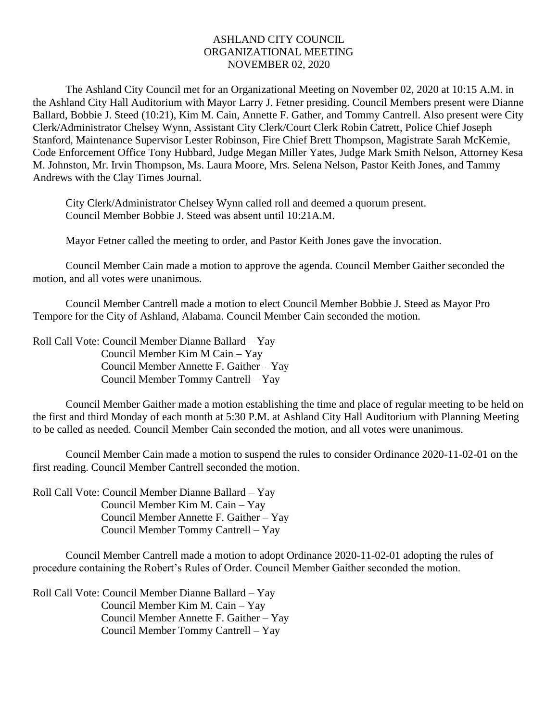## ASHLAND CITY COUNCIL ORGANIZATIONAL MEETING NOVEMBER 02, 2020

The Ashland City Council met for an Organizational Meeting on November 02, 2020 at 10:15 A.M. in the Ashland City Hall Auditorium with Mayor Larry J. Fetner presiding. Council Members present were Dianne Ballard, Bobbie J. Steed (10:21), Kim M. Cain, Annette F. Gather, and Tommy Cantrell. Also present were City Clerk/Administrator Chelsey Wynn, Assistant City Clerk/Court Clerk Robin Catrett, Police Chief Joseph Stanford, Maintenance Supervisor Lester Robinson, Fire Chief Brett Thompson, Magistrate Sarah McKemie, Code Enforcement Office Tony Hubbard, Judge Megan Miller Yates, Judge Mark Smith Nelson, Attorney Kesa M. Johnston, Mr. Irvin Thompson, Ms. Laura Moore, Mrs. Selena Nelson, Pastor Keith Jones, and Tammy Andrews with the Clay Times Journal.

City Clerk/Administrator Chelsey Wynn called roll and deemed a quorum present. Council Member Bobbie J. Steed was absent until 10:21A.M.

Mayor Fetner called the meeting to order, and Pastor Keith Jones gave the invocation.

Council Member Cain made a motion to approve the agenda. Council Member Gaither seconded the motion, and all votes were unanimous.

Council Member Cantrell made a motion to elect Council Member Bobbie J. Steed as Mayor Pro Tempore for the City of Ashland, Alabama. Council Member Cain seconded the motion.

Roll Call Vote: Council Member Dianne Ballard – Yay Council Member Kim M Cain – Yay Council Member Annette F. Gaither – Yay Council Member Tommy Cantrell – Yay

Council Member Gaither made a motion establishing the time and place of regular meeting to be held on the first and third Monday of each month at 5:30 P.M. at Ashland City Hall Auditorium with Planning Meeting to be called as needed. Council Member Cain seconded the motion, and all votes were unanimous.

Council Member Cain made a motion to suspend the rules to consider Ordinance 2020-11-02-01 on the first reading. Council Member Cantrell seconded the motion.

Roll Call Vote: Council Member Dianne Ballard – Yay Council Member Kim M. Cain – Yay Council Member Annette F. Gaither – Yay Council Member Tommy Cantrell – Yay

Council Member Cantrell made a motion to adopt Ordinance 2020-11-02-01 adopting the rules of procedure containing the Robert's Rules of Order. Council Member Gaither seconded the motion.

Roll Call Vote: Council Member Dianne Ballard – Yay Council Member Kim M. Cain – Yay Council Member Annette F. Gaither – Yay Council Member Tommy Cantrell – Yay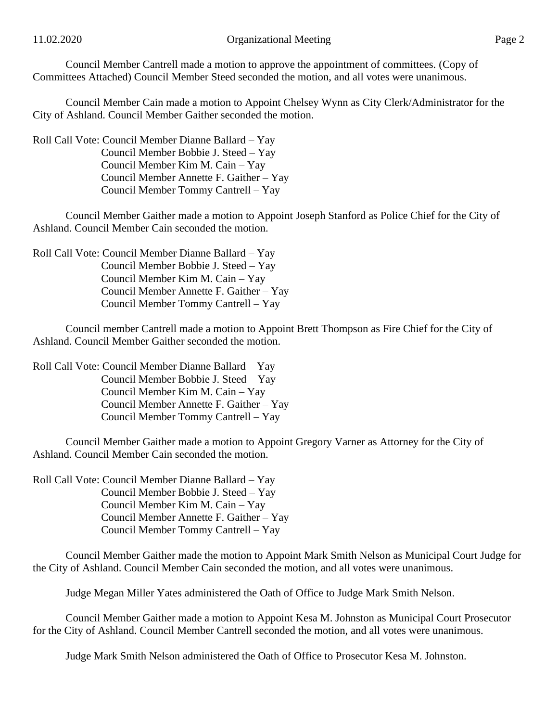Council Member Cantrell made a motion to approve the appointment of committees. (Copy of Committees Attached) Council Member Steed seconded the motion, and all votes were unanimous.

Council Member Cain made a motion to Appoint Chelsey Wynn as City Clerk/Administrator for the City of Ashland. Council Member Gaither seconded the motion.

Roll Call Vote: Council Member Dianne Ballard – Yay Council Member Bobbie J. Steed – Yay Council Member Kim M. Cain – Yay Council Member Annette F. Gaither – Yay Council Member Tommy Cantrell – Yay

Council Member Gaither made a motion to Appoint Joseph Stanford as Police Chief for the City of Ashland. Council Member Cain seconded the motion.

Roll Call Vote: Council Member Dianne Ballard – Yay Council Member Bobbie J. Steed – Yay Council Member Kim M. Cain – Yay Council Member Annette F. Gaither – Yay Council Member Tommy Cantrell – Yay

Council member Cantrell made a motion to Appoint Brett Thompson as Fire Chief for the City of Ashland. Council Member Gaither seconded the motion.

Roll Call Vote: Council Member Dianne Ballard – Yay Council Member Bobbie J. Steed – Yay Council Member Kim M. Cain – Yay Council Member Annette F. Gaither – Yay Council Member Tommy Cantrell – Yay

Council Member Gaither made a motion to Appoint Gregory Varner as Attorney for the City of Ashland. Council Member Cain seconded the motion.

Roll Call Vote: Council Member Dianne Ballard – Yay Council Member Bobbie J. Steed – Yay Council Member Kim M. Cain – Yay Council Member Annette F. Gaither – Yay Council Member Tommy Cantrell – Yay

Council Member Gaither made the motion to Appoint Mark Smith Nelson as Municipal Court Judge for the City of Ashland. Council Member Cain seconded the motion, and all votes were unanimous.

Judge Megan Miller Yates administered the Oath of Office to Judge Mark Smith Nelson.

Council Member Gaither made a motion to Appoint Kesa M. Johnston as Municipal Court Prosecutor for the City of Ashland. Council Member Cantrell seconded the motion, and all votes were unanimous.

Judge Mark Smith Nelson administered the Oath of Office to Prosecutor Kesa M. Johnston.